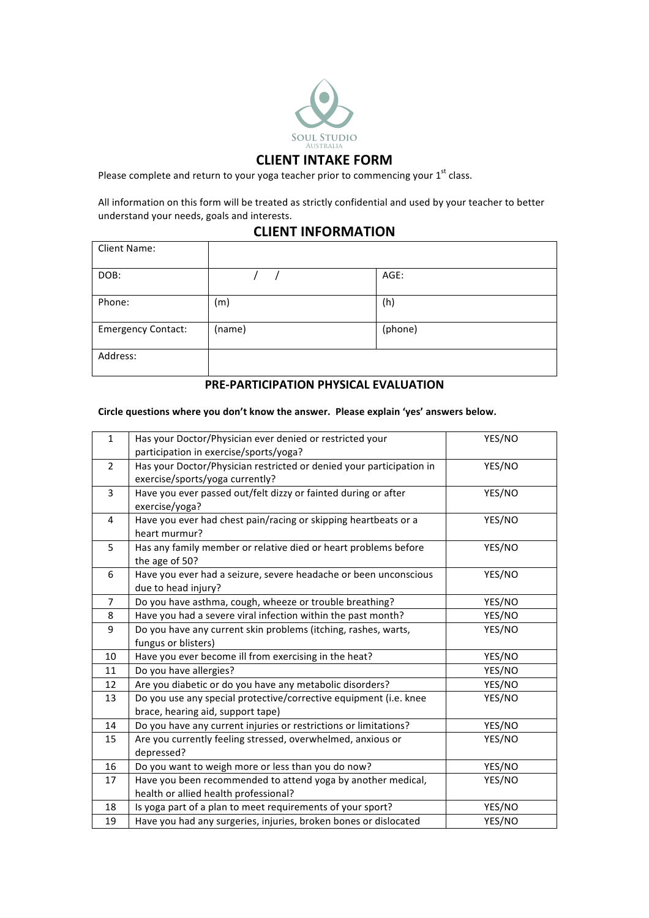

## **CLIENT INTAKE FORM**

Please complete and return to your yoga teacher prior to commencing your  $1<sup>st</sup>$  class.

All information on this form will be treated as strictly confidential and used by your teacher to better understand your needs, goals and interests.

### **CLIENT INFORMATION**

| Client Name:              |        |         |
|---------------------------|--------|---------|
| DOB:                      |        | AGE:    |
| Phone:                    | (m)    | (h)     |
| <b>Emergency Contact:</b> | (name) | (phone) |
| Address:                  |        |         |

# **PRE-PARTICIPATION PHYSICAL EVALUATION**

#### Circle questions where you don't know the answer. Please explain 'yes' answers below.

| $\mathbf{1}$   | Has your Doctor/Physician ever denied or restricted your             | YES/NO |  |
|----------------|----------------------------------------------------------------------|--------|--|
|                | participation in exercise/sports/yoga?                               |        |  |
| $\overline{2}$ | Has your Doctor/Physician restricted or denied your participation in | YES/NO |  |
|                | exercise/sports/yoga currently?                                      |        |  |
| 3              | Have you ever passed out/felt dizzy or fainted during or after       | YES/NO |  |
|                | exercise/yoga?                                                       |        |  |
| 4              | Have you ever had chest pain/racing or skipping heartbeats or a      | YES/NO |  |
|                | heart murmur?                                                        |        |  |
| 5              | Has any family member or relative died or heart problems before      | YES/NO |  |
|                | the age of 50?                                                       |        |  |
| 6              | Have you ever had a seizure, severe headache or been unconscious     | YES/NO |  |
|                | due to head injury?                                                  |        |  |
| $\overline{7}$ | Do you have asthma, cough, wheeze or trouble breathing?              | YES/NO |  |
| 8              | Have you had a severe viral infection within the past month?         | YES/NO |  |
| 9              | Do you have any current skin problems (itching, rashes, warts,       | YES/NO |  |
|                | fungus or blisters)                                                  |        |  |
| 10             | Have you ever become ill from exercising in the heat?                | YES/NO |  |
| 11             | Do you have allergies?                                               | YES/NO |  |
| 12             | Are you diabetic or do you have any metabolic disorders?             | YES/NO |  |
| 13             | Do you use any special protective/corrective equipment (i.e. knee    | YES/NO |  |
|                | brace, hearing aid, support tape)                                    |        |  |
| 14             | Do you have any current injuries or restrictions or limitations?     | YES/NO |  |
| 15             | Are you currently feeling stressed, overwhelmed, anxious or          | YES/NO |  |
|                | depressed?                                                           |        |  |
| 16             | Do you want to weigh more or less than you do now?                   | YES/NO |  |
| 17             | Have you been recommended to attend yoga by another medical,         | YES/NO |  |
|                | health or allied health professional?                                |        |  |
| 18             | YES/NO<br>Is yoga part of a plan to meet requirements of your sport? |        |  |
| 19             | Have you had any surgeries, injuries, broken bones or dislocated     | YES/NO |  |